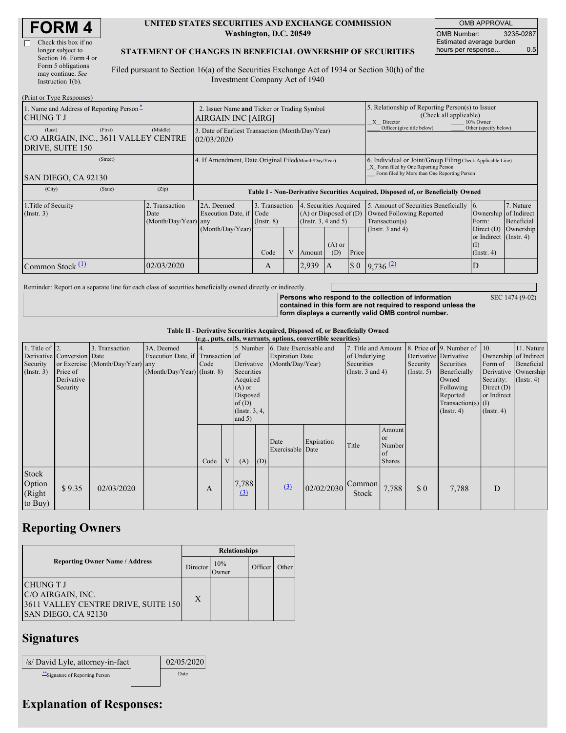| <b>FORM4</b> |
|--------------|
|--------------|

| Check this box if no  |
|-----------------------|
| longer subject to     |
| Section 16. Form 4 or |
| Form 5 obligations    |
| may continue. See     |
| Instruction $1(b)$ .  |

#### **UNITED STATES SECURITIES AND EXCHANGE COMMISSION Washington, D.C. 20549**

OMB APPROVAL OMB Number: 3235-0287 Estimated average burden hours per response... 0.5

#### **STATEMENT OF CHANGES IN BENEFICIAL OWNERSHIP OF SECURITIES**

Filed pursuant to Section 16(a) of the Securities Exchange Act of 1934 or Section 30(h) of the Investment Company Act of 1940

| (Print or Type Responses)                                                                    |            |                                                                                  |                                   |  |                                                                              |                 |                      |                                                                                                                                                    |                                                                   |                         |  |
|----------------------------------------------------------------------------------------------|------------|----------------------------------------------------------------------------------|-----------------------------------|--|------------------------------------------------------------------------------|-----------------|----------------------|----------------------------------------------------------------------------------------------------------------------------------------------------|-------------------------------------------------------------------|-------------------------|--|
| 1. Name and Address of Reporting Person-<br>CHUNG T J                                        |            | 2. Issuer Name and Ticker or Trading Symbol<br>AIRGAIN INC [AIRG]                |                                   |  |                                                                              |                 |                      | 5. Relationship of Reporting Person(s) to Issuer<br>(Check all applicable)<br>X Director<br>10% Owner                                              |                                                                   |                         |  |
| (First)<br>(Last)<br>C/O AIRGAIN, INC., 3611 VALLEY CENTRE<br>DRIVE, SUITE 150               | (Middle)   | 3. Date of Earliest Transaction (Month/Day/Year)<br>02/03/2020                   |                                   |  |                                                                              |                 |                      | Officer (give title below)                                                                                                                         | Other (specify below)                                             |                         |  |
| (Street)<br>SAN DIEGO, CA 92130                                                              |            | 4. If Amendment, Date Original Filed Month/Day/Year)                             |                                   |  |                                                                              |                 |                      | 6. Individual or Joint/Group Filing Check Applicable Line)<br>X Form filed by One Reporting Person<br>Form filed by More than One Reporting Person |                                                                   |                         |  |
| (City)<br>(State)                                                                            | (Zip)      | Table I - Non-Derivative Securities Acquired, Disposed of, or Beneficially Owned |                                   |  |                                                                              |                 |                      |                                                                                                                                                    |                                                                   |                         |  |
| 1. Title of Security<br>2. Transaction<br>$($ Instr. 3 $)$<br>Date<br>$(Month/Day/Year)$ any |            | 2A. Deemed<br>Execution Date, if Code                                            | 3. Transaction<br>$($ Instr. $8)$ |  | 4. Securities Acquired<br>$(A)$ or Disposed of $(D)$<br>(Insert. 3, 4 and 5) |                 |                      | 5. Amount of Securities Beneficially<br>Owned Following Reported<br>Transaction(s)                                                                 | $\overline{6}$ .<br>Ownership of Indirect<br>Form:                | 7. Nature<br>Beneficial |  |
|                                                                                              |            | (Month/Day/Year)                                                                 | Code                              |  | Amount                                                                       | $(A)$ or<br>(D) | Price                | (Instr. $3$ and $4$ )                                                                                                                              | Direct $(D)$<br>or Indirect (Instr. 4)<br>(I)<br>$($ Instr. 4 $)$ | Ownership               |  |
| Common Stock $\Pi$                                                                           | 02/03/2020 |                                                                                  | A                                 |  | 2,939                                                                        | A               | $\boldsymbol{\$}\ 0$ | $9,736$ $(2)$                                                                                                                                      | D                                                                 |                         |  |

Reminder: Report on a separate line for each class of securities beneficially owned directly or indirectly.

**Persons who respond to the collection of information contained in this form are not required to respond unless the form displays a currently valid OMB control number.**

SEC 1474 (9-02)

**Table II - Derivative Securities Acquired, Disposed of, or Beneficially Owned**

| (e.g., puts, calls, warrants, options, convertible securities) |                                                                  |                                                    |                                                                                  |            |   |                                                                                                                   |     |                                                                       |            |                                                                             |                                                      |                         |                                                                                                                                                                   |                                                                                                  |                                                                      |
|----------------------------------------------------------------|------------------------------------------------------------------|----------------------------------------------------|----------------------------------------------------------------------------------|------------|---|-------------------------------------------------------------------------------------------------------------------|-----|-----------------------------------------------------------------------|------------|-----------------------------------------------------------------------------|------------------------------------------------------|-------------------------|-------------------------------------------------------------------------------------------------------------------------------------------------------------------|--------------------------------------------------------------------------------------------------|----------------------------------------------------------------------|
| 1. Title of $ 2$ .<br>Security<br>$($ Instr. 3 $)$             | Derivative Conversion Date<br>Price of<br>Derivative<br>Security | 3. Transaction<br>or Exercise (Month/Day/Year) any | 3A. Deemed<br>Execution Date, if Transaction of<br>$(Month/Day/Year)$ (Instr. 8) | 4.<br>Code |   | 5. Number<br>Derivative<br>Securities<br>Acquired<br>$(A)$ or<br>Disposed<br>of(D)<br>(Instr. $3, 4,$<br>and $5)$ |     | 6. Date Exercisable and<br><b>Expiration Date</b><br>(Month/Day/Year) |            | 7. Title and Amount<br>of Underlying<br>Securities<br>(Instr. $3$ and $4$ ) |                                                      | Security<br>(Insert. 5) | 8. Price of 9. Number of 10.<br>Derivative Derivative<br>Securities<br>Beneficially<br>Owned<br>Following<br>Reported<br>Transaction(s) $(I)$<br>$($ Instr. 4 $)$ | Ownership of Indirect<br>Form of<br>Security:<br>Direct $(D)$<br>or Indirect<br>$($ Instr. 4 $)$ | 11. Nature<br>Beneficial<br>Derivative Ownership<br>$($ Instr. 4 $)$ |
|                                                                |                                                                  |                                                    |                                                                                  | Code       | V | (A)                                                                                                               | (D) | Date<br>Exercisable Date                                              | Expiration | Title                                                                       | Amount<br><b>or</b><br>Number<br>of<br><b>Shares</b> |                         |                                                                                                                                                                   |                                                                                                  |                                                                      |
| Stock<br>Option<br>(Right<br>to Buy)                           | \$9.35                                                           | 02/03/2020                                         |                                                                                  | A          |   | 7,788<br>$\left(3\right)$                                                                                         |     | (3)                                                                   | 02/02/2030 | Common<br><b>Stock</b>                                                      | 7,788                                                | \$0                     | 7,788                                                                                                                                                             | D                                                                                                |                                                                      |

### **Reporting Owners**

|                                                                                                     | <b>Relationships</b> |              |         |       |  |  |  |
|-----------------------------------------------------------------------------------------------------|----------------------|--------------|---------|-------|--|--|--|
| <b>Reporting Owner Name / Address</b>                                                               | Director             | 10%<br>Dwner | Officer | Other |  |  |  |
| <b>CHUNG T J</b><br>C/O AIRGAIN, INC.<br>3611 VALLEY CENTRE DRIVE, SUITE 150<br>SAN DIEGO, CA 92130 | X                    |              |         |       |  |  |  |

## **Signatures**

| /s/ David Lyle, attorney-in-fact | 02/05/2020 |
|----------------------------------|------------|
| Signature of Reporting Person    | Date       |

# **Explanation of Responses:**